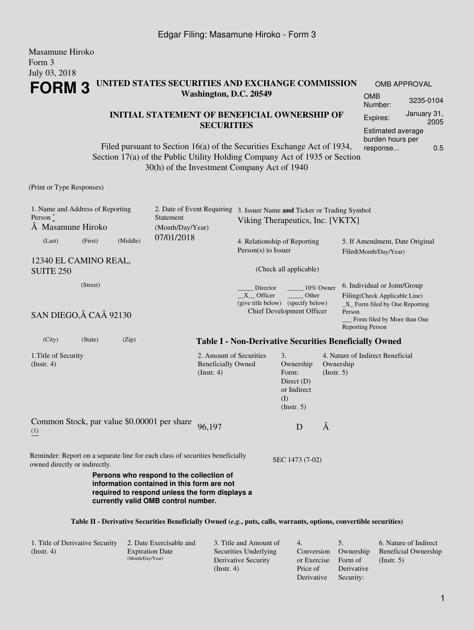#### Masamune Hiroko Form 3 July 03, 2018 **FORM 3 UNITED STATES SECURITIES AND EXCHANGE COMMISSION Washington, D.C. 20549** OMB APPROVAL OMB Number: 3235-0104

#### **INITIAL STATEMENT OF BENEFICIAL OWNERSHIP OF SECURITIES**

Filed pursuant to Section 16(a) of the Securities Exchange Act of 1934, Section 17(a) of the Public Utility Holding Company Act of 1935 or Section 30(h) of the Investment Company Act of 1940

(Print or Type Responses)

| 1. Name and Address of Reporting<br>Person $*$<br>Statement<br>Masamune Hiroko<br>(Month/Day/Year)             |                                                                                                                       | 2. Date of Event Requiring                                               | 3. Issuer Name and Ticker or Trading Symbol<br>Viking Therapeutics, Inc. [VKTX] |                                                                                    |                                                                                                                                                                      |                                                               |  |
|----------------------------------------------------------------------------------------------------------------|-----------------------------------------------------------------------------------------------------------------------|--------------------------------------------------------------------------|---------------------------------------------------------------------------------|------------------------------------------------------------------------------------|----------------------------------------------------------------------------------------------------------------------------------------------------------------------|---------------------------------------------------------------|--|
| (Middle)<br>(Last)<br>(First)                                                                                  | 07/01/2018                                                                                                            |                                                                          | 4. Relationship of Reporting<br>$Person(s)$ to Issuer                           |                                                                                    |                                                                                                                                                                      | 5. If Amendment, Date Original<br>Filed(Month/Day/Year)       |  |
| 12340 EL CAMINO REAL,<br><b>SUITE 250</b>                                                                      |                                                                                                                       |                                                                          |                                                                                 | (Check all applicable)                                                             |                                                                                                                                                                      |                                                               |  |
| (Street)<br>SAN DIEGO, Â CAÂ 92130                                                                             | Director<br>10% Owner<br>X Officer<br>Other<br>(give title below) (specify below)<br><b>Chief Development Officer</b> |                                                                          |                                                                                 |                                                                                    | 6. Individual or Joint/Group<br>Filing(Check Applicable Line)<br>$X$ Form filed by One Reporting<br>Person<br>Form filed by More than One<br><b>Reporting Person</b> |                                                               |  |
| (City)<br>(State)<br>(Zip)                                                                                     |                                                                                                                       |                                                                          |                                                                                 |                                                                                    |                                                                                                                                                                      | <b>Table I - Non-Derivative Securities Beneficially Owned</b> |  |
| 1. Title of Security<br>$($ Instr. 4 $)$                                                                       |                                                                                                                       | 2. Amount of Securities<br><b>Beneficially Owned</b><br>$($ Instr. 4 $)$ |                                                                                 | 3.<br>Ownership<br>Form:<br>Direct $(D)$<br>or Indirect<br>(I)<br>$($ Instr. 5 $)$ | Ownership<br>(Insert. 5)                                                                                                                                             | 4. Nature of Indirect Beneficial                              |  |
| Common Stock, par value \$0.00001 per share<br>(1)                                                             |                                                                                                                       | 96,197                                                                   |                                                                                 | D                                                                                  | Â                                                                                                                                                                    |                                                               |  |
| Reminder: Report on a separate line for each class of securities beneficially<br>owned directly or indirectly. | Persons who respond to the collection of<br>information contained in this form are not                                |                                                                          |                                                                                 | SEC 1473 (7-02)                                                                    |                                                                                                                                                                      |                                                               |  |
|                                                                                                                | required to respond unless the form displays a<br>currently valid OMB control number.                                 |                                                                          |                                                                                 |                                                                                    |                                                                                                                                                                      |                                                               |  |

#### **Table II - Derivative Securities Beneficially Owned (***e.g.***, puts, calls, warrants, options, convertible securities)**

| 1. Title of Derivative Security | 2. Date Exercisable and | 3. Title and Amount of | $-4.$       |            | 6. Nature of Indirect       |
|---------------------------------|-------------------------|------------------------|-------------|------------|-----------------------------|
| (Insert. 4)                     | <b>Expiration Date</b>  | Securities Underlying  | Conversion  | Ownership  | <b>Beneficial Ownership</b> |
|                                 | (Month/Day/Year)        | Derivative Security    | or Exercise | Form of    | $($ Instr. 5 $)$            |
|                                 |                         | (Insert, 4)            | Price of    | Derivative |                             |
|                                 |                         |                        | Derivative  | Security:  |                             |

Expires: January 31,

Estimated average burden hours per response... 0.5

2005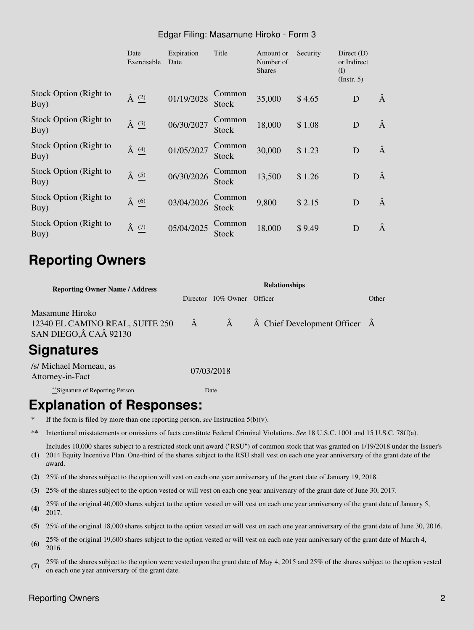### Edgar Filing: Masamune Hiroko - Form 3

|                                | Date<br>Exercisable  | Expiration<br>Date | Title           | Amount or<br>Number of<br><b>Shares</b> | Security | Direct $(D)$<br>or Indirect<br>(I)<br>$($ Instr. 5 $)$ |   |
|--------------------------------|----------------------|--------------------|-----------------|-----------------------------------------|----------|--------------------------------------------------------|---|
| Stock Option (Right to<br>Buy) | $\hat{A}$ $(2)$      | 01/19/2028         | Common<br>Stock | 35,000                                  | \$4.65   | D                                                      | Â |
| Stock Option (Right to<br>Buy) | $\hat{A}$ $(3)$      | 06/30/2027         | Common<br>Stock | 18,000                                  | \$1.08   | D                                                      | Â |
| Stock Option (Right to<br>Buy) | Â<br>$\frac{(4)}{2}$ | 01/05/2027         | Common<br>Stock | 30,000                                  | \$1.23   | D                                                      | Â |
| Stock Option (Right to<br>Buy) | Â<br>$\frac{(5)}{2}$ | 06/30/2026         | Common<br>Stock | 13,500                                  | \$1.26   | D                                                      | Â |
| Stock Option (Right to<br>Buy) | $\hat{A}$ (6)        | 03/04/2026         | Common<br>Stock | 9,800                                   | \$2.15   | D                                                      | Â |
| Stock Option (Right to<br>Buy) | $\hat{A}$ $(7)$      | 05/04/2025         | Common<br>Stock | 18,000                                  | \$9.49   | D                                                      | Â |

# **Reporting Owners**

| <b>Reporting Owner Name / Address</b>                                        | <b>Relationships</b> |                            |                                               |       |  |  |
|------------------------------------------------------------------------------|----------------------|----------------------------|-----------------------------------------------|-------|--|--|
|                                                                              |                      | Director 10% Owner Officer |                                               | Other |  |  |
| Masamune Hiroko<br>12340 EL CAMINO REAL, SUITE 250<br>SAN DIEGO, Â CAÂ 92130 | $\hat{A}$            | Â                          | $\hat{A}$ Chief Development Officer $\hat{A}$ |       |  |  |
| <b>Signatures</b>                                                            |                      |                            |                                               |       |  |  |
| /s/ Michael Morneau, as<br>Attorney-in-Fact                                  |                      | 07/03/2018                 |                                               |       |  |  |
| **Signature of Reporting Person                                              |                      | Date                       |                                               |       |  |  |

## **Explanation of Responses:**

- If the form is filed by more than one reporting person, *see* Instruction  $5(b)(v)$ .
- **\*\*** Intentional misstatements or omissions of facts constitute Federal Criminal Violations. *See* 18 U.S.C. 1001 and 15 U.S.C. 78ff(a).
- **(1)** 2014 Equity Incentive Plan. One-third of the shares subject to the RSU shall vest on each one year anniversary of the grant date of the Includes 10,000 shares subject to a restricted stock unit award ("RSU") of common stock that was granted on 1/19/2018 under the Issuer's award.
- **(2)** 25% of the shares subject to the option will vest on each one year anniversary of the grant date of January 19, 2018.
- **(3)** 25% of the shares subject to the option vested or will vest on each one year anniversary of the grant date of June 30, 2017.
- **(4)** 25% of the original 40,000 shares subject to the option vested or will vest on each one year anniversary of the grant date of January 5, 2017.
- **(5)** 25% of the original 18,000 shares subject to the option vested or will vest on each one year anniversary of the grant date of June 30, 2016.
- **(6)** 25% of the original 19,600 shares subject to the option vested or will vest on each one year anniversary of the grant date of March 4, 2016.
- **(7)** 25% of the shares subject to the option were vested upon the grant date of May 4, 2015 and 25% of the shares subject to the option vested on each one year anniversary of the grant date.